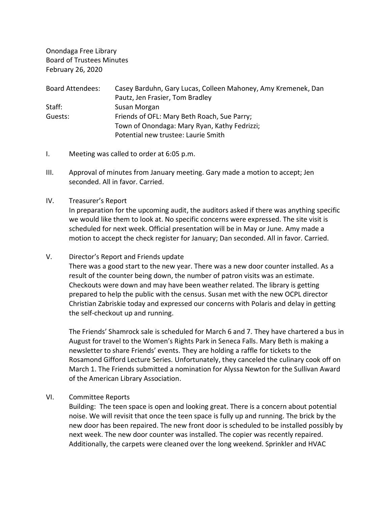Onondaga Free Library Board of Trustees Minutes February 26, 2020

| <b>Board Attendees:</b> | Casey Barduhn, Gary Lucas, Colleen Mahoney, Amy Kremenek, Dan |
|-------------------------|---------------------------------------------------------------|
|                         | Pautz, Jen Frasier, Tom Bradley                               |
| Staff:                  | Susan Morgan                                                  |
| Guests:                 | Friends of OFL: Mary Beth Roach, Sue Parry;                   |
|                         | Town of Onondaga: Mary Ryan, Kathy Fedrizzi;                  |
|                         | Potential new trustee: Laurie Smith                           |

- I. Meeting was called to order at 6:05 p.m.
- III. Approval of minutes from January meeting. Gary made a motion to accept; Jen seconded. All in favor. Carried.
- IV. Treasurer's Report

In preparation for the upcoming audit, the auditors asked if there was anything specific we would like them to look at. No specific concerns were expressed. The site visit is scheduled for next week. Official presentation will be in May or June. Amy made a motion to accept the check register for January; Dan seconded. All in favor. Carried.

V. Director's Report and Friends update

There was a good start to the new year. There was a new door counter installed. As a result of the counter being down, the number of patron visits was an estimate. Checkouts were down and may have been weather related. The library is getting prepared to help the public with the census. Susan met with the new OCPL director Christian Zabriskie today and expressed our concerns with Polaris and delay in getting the self-checkout up and running.

The Friends' Shamrock sale is scheduled for March 6 and 7. They have chartered a bus in August for travel to the Women's Rights Park in Seneca Falls. Mary Beth is making a newsletter to share Friends' events. They are holding a raffle for tickets to the Rosamond Gifford Lecture Series. Unfortunately, they canceled the culinary cook off on March 1. The Friends submitted a nomination for Alyssa Newton for the Sullivan Award of the American Library Association.

VI. Committee Reports

Building: The teen space is open and looking great. There is a concern about potential noise. We will revisit that once the teen space is fully up and running. The brick by the new door has been repaired. The new front door is scheduled to be installed possibly by next week. The new door counter was installed. The copier was recently repaired. Additionally, the carpets were cleaned over the long weekend. Sprinkler and HVAC